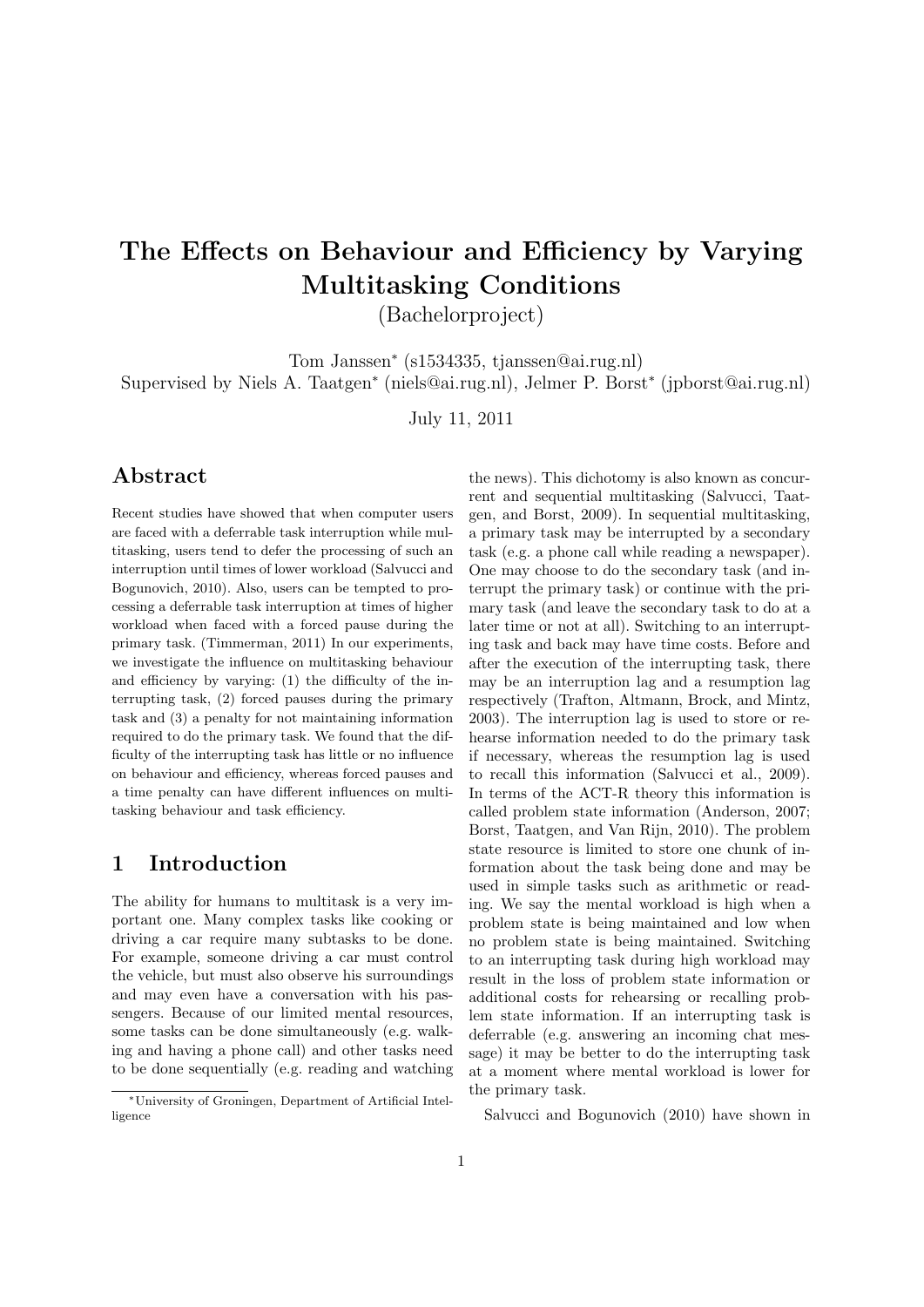# The Effects on Behaviour and Efficiency by Varying Multitasking Conditions

(Bachelorproject)

Tom Janssen<sup>∗</sup> (s1534335, tjanssen@ai.rug.nl) Supervised by Niels A. Taatgen<sup>∗</sup> (niels@ai.rug.nl), Jelmer P. Borst<sup>∗</sup> (jpborst@ai.rug.nl)

July 11, 2011

# Abstract

Recent studies have showed that when computer users are faced with a deferrable task interruption while multitasking, users tend to defer the processing of such an interruption until times of lower workload (Salvucci and Bogunovich, 2010). Also, users can be tempted to processing a deferrable task interruption at times of higher workload when faced with a forced pause during the primary task. (Timmerman, 2011) In our experiments, we investigate the influence on multitasking behaviour and efficiency by varying: (1) the difficulty of the interrupting task, (2) forced pauses during the primary task and (3) a penalty for not maintaining information required to do the primary task. We found that the difficulty of the interrupting task has little or no influence on behaviour and efficiency, whereas forced pauses and a time penalty can have different influences on multitasking behaviour and task efficiency.

## 1 Introduction

The ability for humans to multitask is a very important one. Many complex tasks like cooking or driving a car require many subtasks to be done. For example, someone driving a car must control the vehicle, but must also observe his surroundings and may even have a conversation with his passengers. Because of our limited mental resources, some tasks can be done simultaneously (e.g. walking and having a phone call) and other tasks need to be done sequentially (e.g. reading and watching

the news). This dichotomy is also known as concurrent and sequential multitasking (Salvucci, Taatgen, and Borst, 2009). In sequential multitasking, a primary task may be interrupted by a secondary task (e.g. a phone call while reading a newspaper). One may choose to do the secondary task (and interrupt the primary task) or continue with the primary task (and leave the secondary task to do at a later time or not at all). Switching to an interrupting task and back may have time costs. Before and after the execution of the interrupting task, there may be an interruption lag and a resumption lag respectively (Trafton, Altmann, Brock, and Mintz, 2003). The interruption lag is used to store or rehearse information needed to do the primary task if necessary, whereas the resumption lag is used to recall this information (Salvucci et al., 2009). In terms of the ACT-R theory this information is called problem state information (Anderson, 2007; Borst, Taatgen, and Van Rijn, 2010). The problem state resource is limited to store one chunk of information about the task being done and may be used in simple tasks such as arithmetic or reading. We say the mental workload is high when a problem state is being maintained and low when no problem state is being maintained. Switching to an interrupting task during high workload may result in the loss of problem state information or additional costs for rehearsing or recalling problem state information. If an interrupting task is deferrable (e.g. answering an incoming chat message) it may be better to do the interrupting task at a moment where mental workload is lower for the primary task.

Salvucci and Bogunovich (2010) have shown in

<sup>∗</sup>University of Groningen, Department of Artificial Intelligence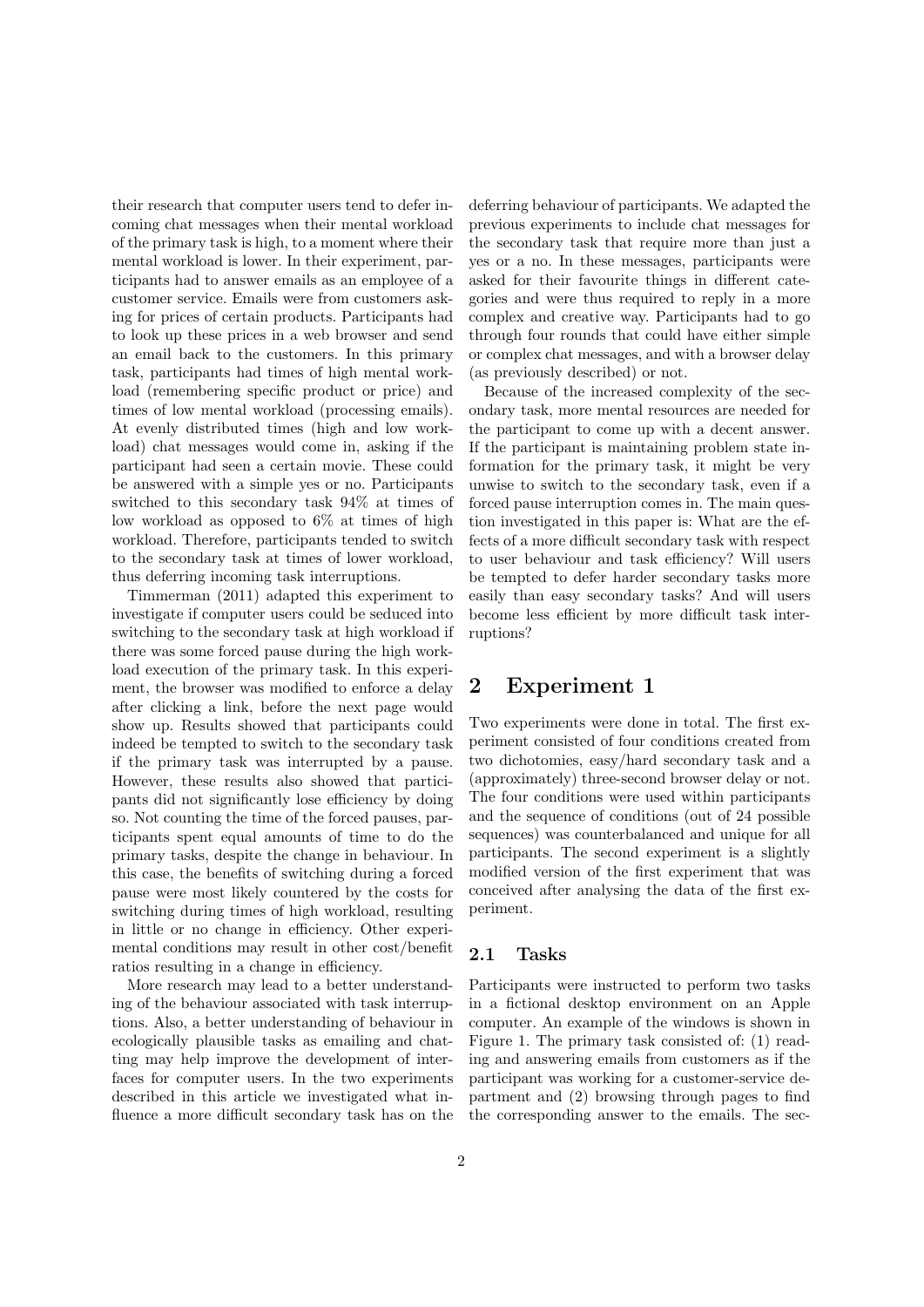their research that computer users tend to defer incoming chat messages when their mental workload of the primary task is high, to a moment where their mental workload is lower. In their experiment, participants had to answer emails as an employee of a customer service. Emails were from customers asking for prices of certain products. Participants had to look up these prices in a web browser and send an email back to the customers. In this primary task, participants had times of high mental workload (remembering specific product or price) and times of low mental workload (processing emails). At evenly distributed times (high and low workload) chat messages would come in, asking if the participant had seen a certain movie. These could be answered with a simple yes or no. Participants switched to this secondary task 94% at times of low workload as opposed to 6% at times of high workload. Therefore, participants tended to switch to the secondary task at times of lower workload, thus deferring incoming task interruptions.

Timmerman (2011) adapted this experiment to investigate if computer users could be seduced into switching to the secondary task at high workload if there was some forced pause during the high workload execution of the primary task. In this experiment, the browser was modified to enforce a delay after clicking a link, before the next page would show up. Results showed that participants could indeed be tempted to switch to the secondary task if the primary task was interrupted by a pause. However, these results also showed that participants did not significantly lose efficiency by doing so. Not counting the time of the forced pauses, participants spent equal amounts of time to do the primary tasks, despite the change in behaviour. In this case, the benefits of switching during a forced pause were most likely countered by the costs for switching during times of high workload, resulting in little or no change in efficiency. Other experimental conditions may result in other cost/benefit ratios resulting in a change in efficiency.

More research may lead to a better understanding of the behaviour associated with task interruptions. Also, a better understanding of behaviour in ecologically plausible tasks as emailing and chatting may help improve the development of interfaces for computer users. In the two experiments described in this article we investigated what influence a more difficult secondary task has on the deferring behaviour of participants. We adapted the previous experiments to include chat messages for the secondary task that require more than just a yes or a no. In these messages, participants were asked for their favourite things in different categories and were thus required to reply in a more complex and creative way. Participants had to go through four rounds that could have either simple or complex chat messages, and with a browser delay (as previously described) or not.

Because of the increased complexity of the secondary task, more mental resources are needed for the participant to come up with a decent answer. If the participant is maintaining problem state information for the primary task, it might be very unwise to switch to the secondary task, even if a forced pause interruption comes in. The main question investigated in this paper is: What are the effects of a more difficult secondary task with respect to user behaviour and task efficiency? Will users be tempted to defer harder secondary tasks more easily than easy secondary tasks? And will users become less efficient by more difficult task interruptions?

## 2 Experiment 1

Two experiments were done in total. The first experiment consisted of four conditions created from two dichotomies, easy/hard secondary task and a (approximately) three-second browser delay or not. The four conditions were used within participants and the sequence of conditions (out of 24 possible sequences) was counterbalanced and unique for all participants. The second experiment is a slightly modified version of the first experiment that was conceived after analysing the data of the first experiment.

#### 2.1 Tasks

Participants were instructed to perform two tasks in a fictional desktop environment on an Apple computer. An example of the windows is shown in Figure 1. The primary task consisted of: (1) reading and answering emails from customers as if the participant was working for a customer-service department and (2) browsing through pages to find the corresponding answer to the emails. The sec-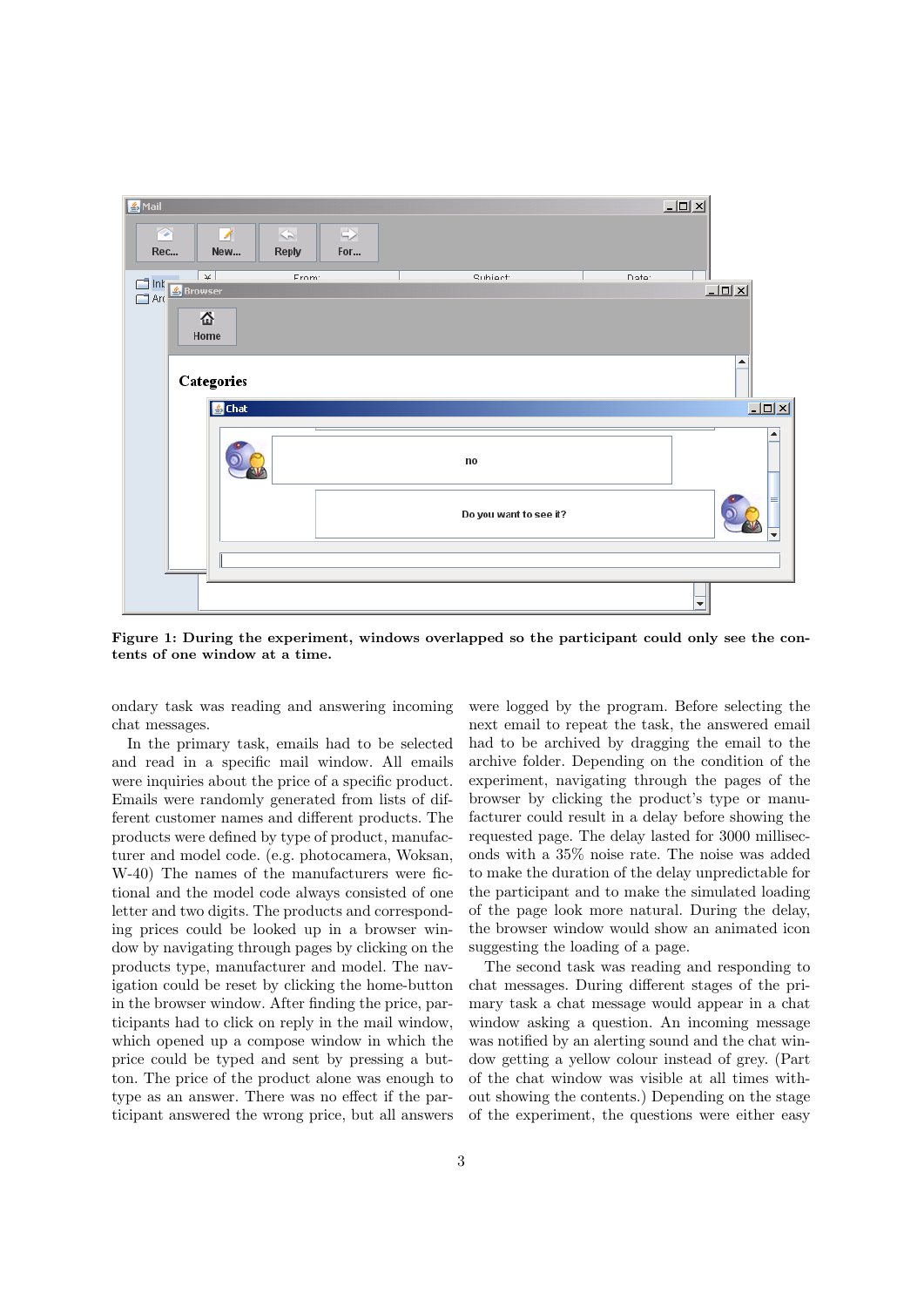

Figure 1: During the experiment, windows overlapped so the participant could only see the contents of one window at a time.

ondary task was reading and answering incoming chat messages.

In the primary task, emails had to be selected and read in a specific mail window. All emails were inquiries about the price of a specific product. Emails were randomly generated from lists of different customer names and different products. The products were defined by type of product, manufacturer and model code. (e.g. photocamera, Woksan, W-40) The names of the manufacturers were fictional and the model code always consisted of one letter and two digits. The products and corresponding prices could be looked up in a browser window by navigating through pages by clicking on the products type, manufacturer and model. The navigation could be reset by clicking the home-button in the browser window. After finding the price, participants had to click on reply in the mail window, which opened up a compose window in which the price could be typed and sent by pressing a button. The price of the product alone was enough to type as an answer. There was no effect if the participant answered the wrong price, but all answers

3

were logged by the program. Before selecting the next email to repeat the task, the answered email had to be archived by dragging the email to the archive folder. Depending on the condition of the experiment, navigating through the pages of the browser by clicking the product's type or manufacturer could result in a delay before showing the requested page. The delay lasted for 3000 milliseconds with a 35% noise rate. The noise was added to make the duration of the delay unpredictable for the participant and to make the simulated loading of the page look more natural. During the delay, the browser window would show an animated icon suggesting the loading of a page.

The second task was reading and responding to chat messages. During different stages of the primary task a chat message would appear in a chat window asking a question. An incoming message was notified by an alerting sound and the chat window getting a yellow colour instead of grey. (Part of the chat window was visible at all times without showing the contents.) Depending on the stage of the experiment, the questions were either easy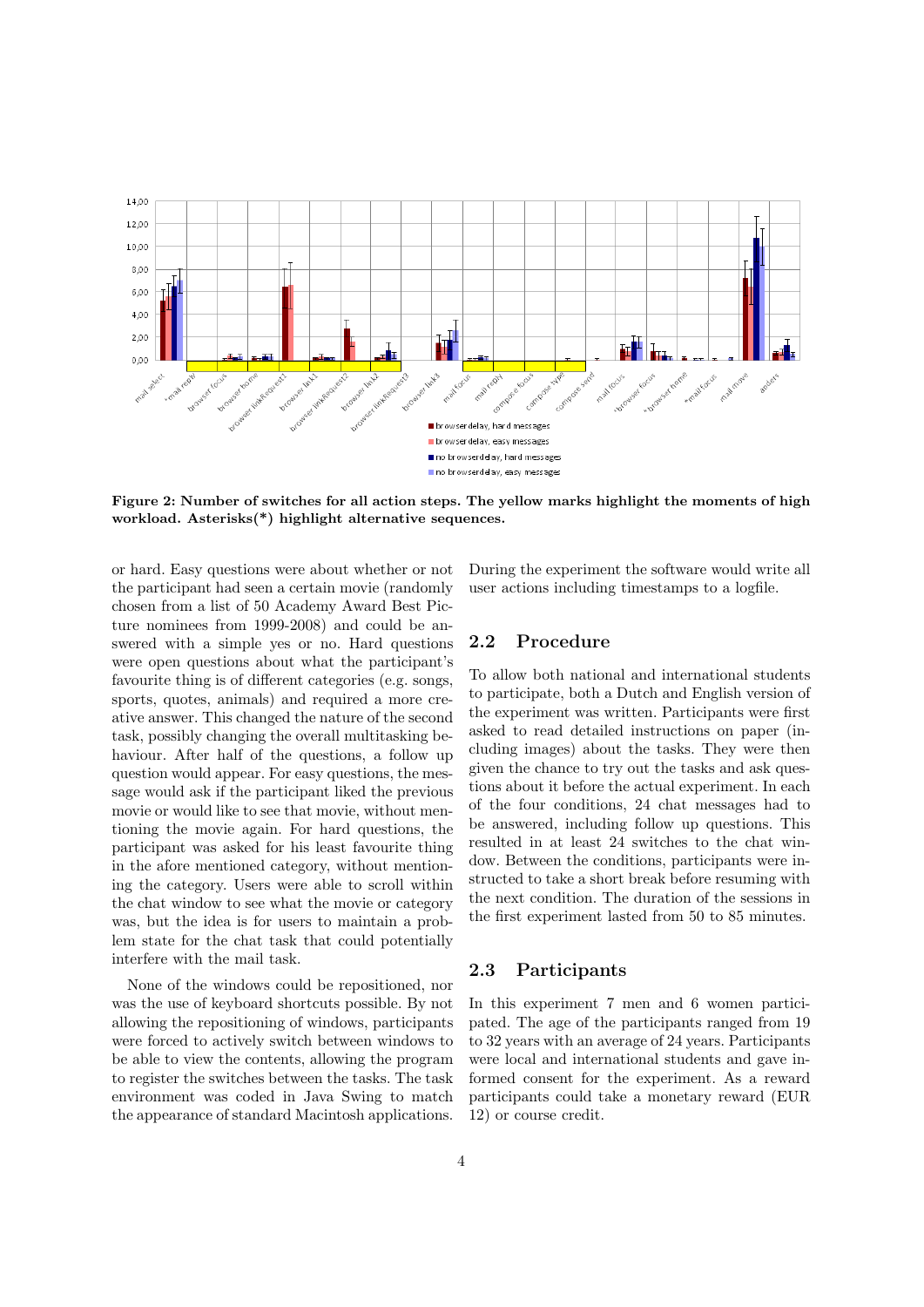

Figure 2: Number of switches for all action steps. The yellow marks highlight the moments of high workload. Asterisks(\*) highlight alternative sequences.

or hard. Easy questions were about whether or not the participant had seen a certain movie (randomly chosen from a list of 50 Academy Award Best Picture nominees from 1999-2008) and could be answered with a simple yes or no. Hard questions were open questions about what the participant's favourite thing is of different categories (e.g. songs, sports, quotes, animals) and required a more creative answer. This changed the nature of the second task, possibly changing the overall multitasking behaviour. After half of the questions, a follow up question would appear. For easy questions, the message would ask if the participant liked the previous movie or would like to see that movie, without mentioning the movie again. For hard questions, the participant was asked for his least favourite thing in the afore mentioned category, without mentioning the category. Users were able to scroll within the chat window to see what the movie or category was, but the idea is for users to maintain a problem state for the chat task that could potentially interfere with the mail task.

None of the windows could be repositioned, nor was the use of keyboard shortcuts possible. By not allowing the repositioning of windows, participants were forced to actively switch between windows to be able to view the contents, allowing the program to register the switches between the tasks. The task environment was coded in Java Swing to match the appearance of standard Macintosh applications.

During the experiment the software would write all user actions including timestamps to a logfile.

#### 2.2 Procedure

To allow both national and international students to participate, both a Dutch and English version of the experiment was written. Participants were first asked to read detailed instructions on paper (including images) about the tasks. They were then given the chance to try out the tasks and ask questions about it before the actual experiment. In each of the four conditions, 24 chat messages had to be answered, including follow up questions. This resulted in at least 24 switches to the chat window. Between the conditions, participants were instructed to take a short break before resuming with the next condition. The duration of the sessions in the first experiment lasted from 50 to 85 minutes.

#### 2.3 Participants

In this experiment 7 men and 6 women participated. The age of the participants ranged from 19 to 32 years with an average of 24 years. Participants were local and international students and gave informed consent for the experiment. As a reward participants could take a monetary reward (EUR 12) or course credit.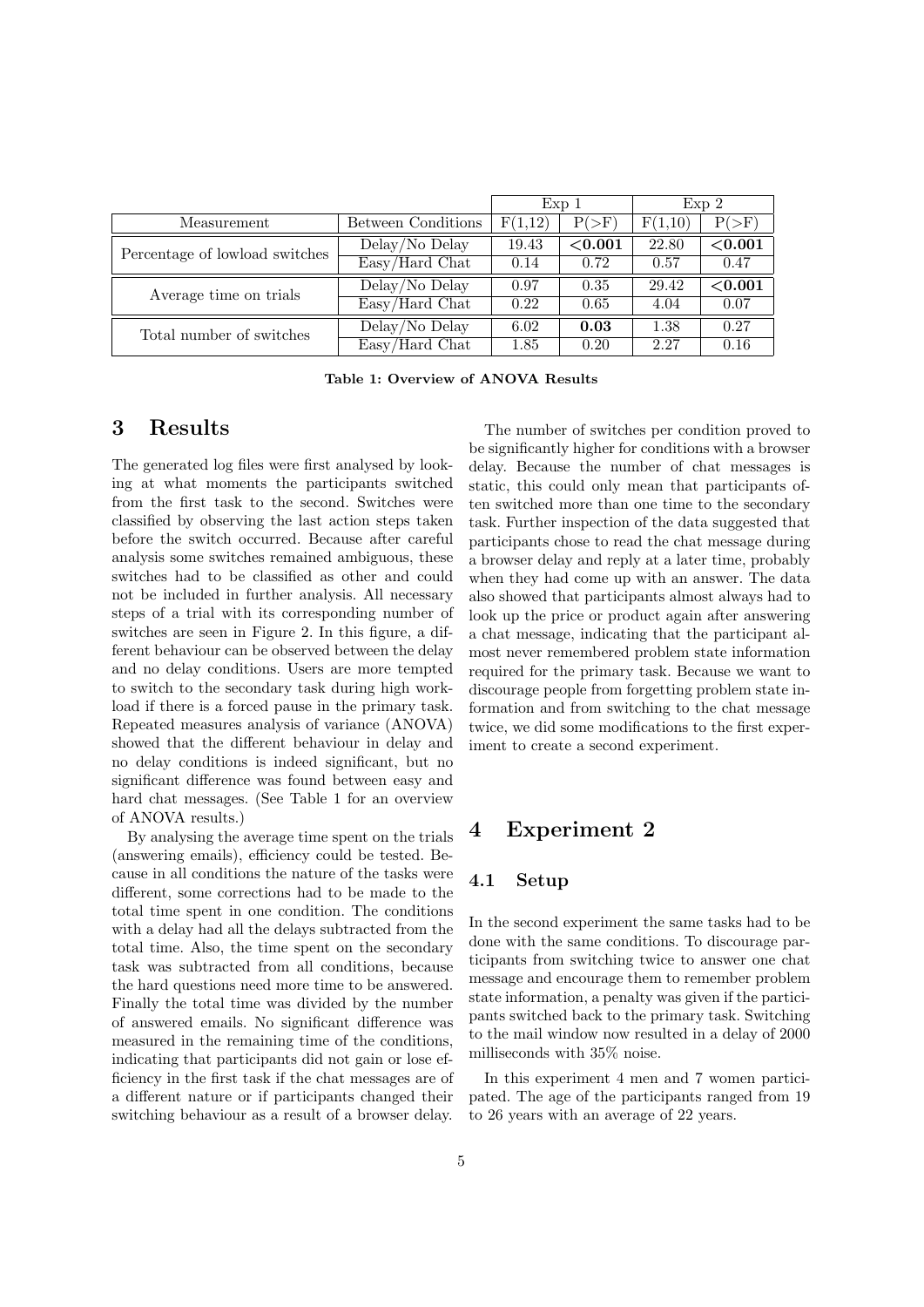|                                |                                           | $Exp_1$ |            | Exp <sub>2</sub> |            |
|--------------------------------|-------------------------------------------|---------|------------|------------------|------------|
| Measurement                    | Between Conditions                        | F(1,12) | $P(>=F)$   | F(1,10)          | $P(>=F)$   |
| Percentage of lowload switches | Delay/No Delay                            | 19.43   | ${<}0.001$ | 22.80            | ${<}0.001$ |
|                                | Easy/Hard Chat                            | 0.14    | 0.72       | 0.57             | 0.47       |
| Average time on trials         | Delay/No Delay                            | 0.97    | 0.35       | 29.42            | ${<}0.001$ |
|                                | $\overline{\text{Easy}/\text{Hard Chat}}$ | 0.22    | 0.65       | 4.04             | 0.07       |
| Total number of switches       | Delay/No Delay                            | 6.02    | 0.03       | 1.38             | 0.27       |
|                                | Easy/Hard Chat                            | 1.85    | 0.20       | 2.27             | 0.16       |

Table 1: Overview of ANOVA Results

## 3 Results

The generated log files were first analysed by looking at what moments the participants switched from the first task to the second. Switches were classified by observing the last action steps taken before the switch occurred. Because after careful analysis some switches remained ambiguous, these switches had to be classified as other and could not be included in further analysis. All necessary steps of a trial with its corresponding number of switches are seen in Figure 2. In this figure, a different behaviour can be observed between the delay and no delay conditions. Users are more tempted to switch to the secondary task during high workload if there is a forced pause in the primary task. Repeated measures analysis of variance (ANOVA) showed that the different behaviour in delay and no delay conditions is indeed significant, but no significant difference was found between easy and hard chat messages. (See Table 1 for an overview of ANOVA results.)

By analysing the average time spent on the trials (answering emails), efficiency could be tested. Because in all conditions the nature of the tasks were different, some corrections had to be made to the total time spent in one condition. The conditions with a delay had all the delays subtracted from the total time. Also, the time spent on the secondary task was subtracted from all conditions, because the hard questions need more time to be answered. Finally the total time was divided by the number of answered emails. No significant difference was measured in the remaining time of the conditions, indicating that participants did not gain or lose efficiency in the first task if the chat messages are of a different nature or if participants changed their switching behaviour as a result of a browser delay.

The number of switches per condition proved to be significantly higher for conditions with a browser delay. Because the number of chat messages is static, this could only mean that participants often switched more than one time to the secondary task. Further inspection of the data suggested that participants chose to read the chat message during a browser delay and reply at a later time, probably when they had come up with an answer. The data also showed that participants almost always had to look up the price or product again after answering a chat message, indicating that the participant almost never remembered problem state information required for the primary task. Because we want to discourage people from forgetting problem state information and from switching to the chat message twice, we did some modifications to the first experiment to create a second experiment.

## 4 Experiment 2

#### 4.1 Setup

In the second experiment the same tasks had to be done with the same conditions. To discourage participants from switching twice to answer one chat message and encourage them to remember problem state information, a penalty was given if the participants switched back to the primary task. Switching to the mail window now resulted in a delay of 2000 milliseconds with 35% noise.

In this experiment 4 men and 7 women participated. The age of the participants ranged from 19 to 26 years with an average of 22 years.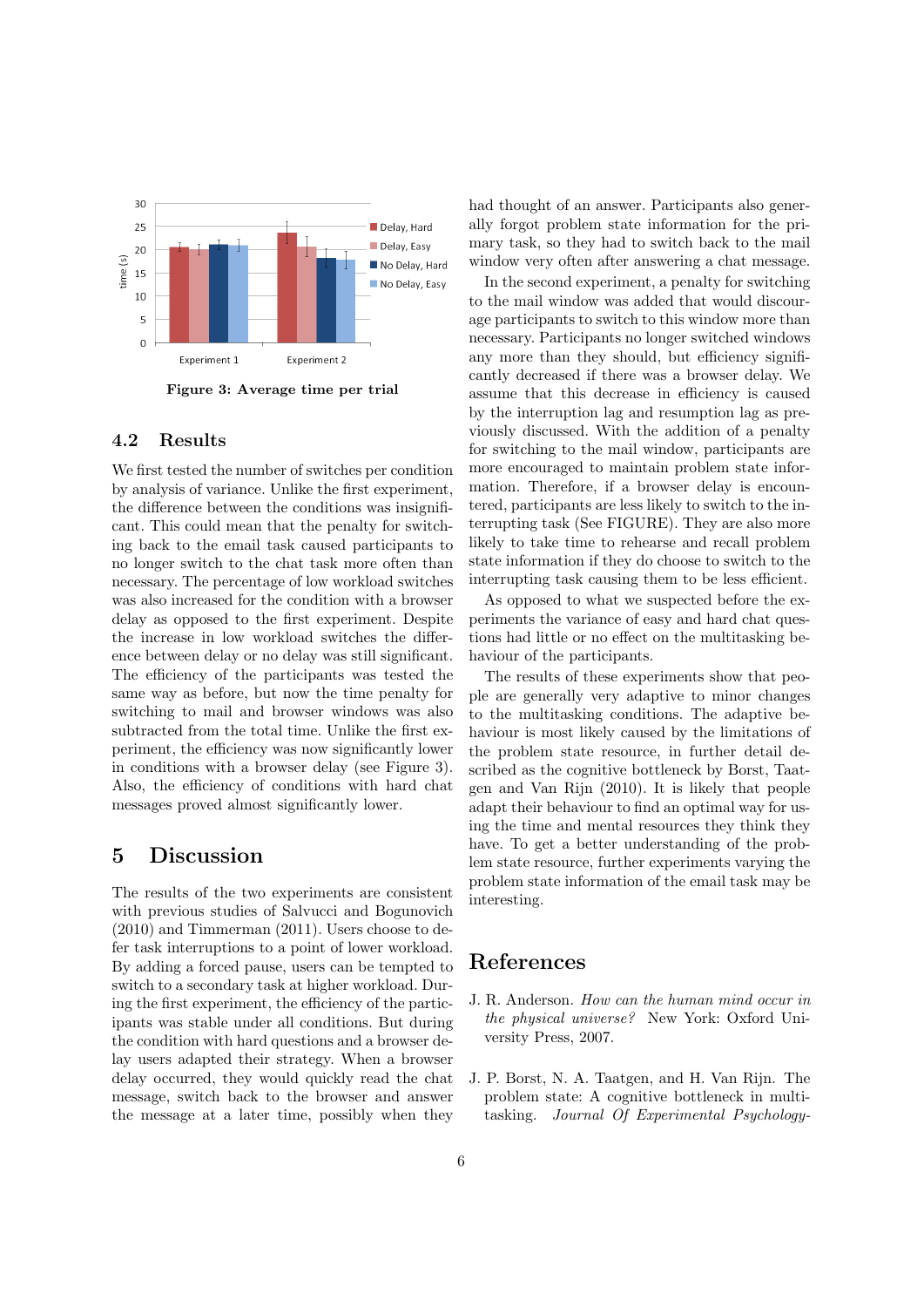

Figure 3: Average time per trial

### 4.2 Results

We first tested the number of switches per condition by analysis of variance. Unlike the first experiment, the difference between the conditions was insignificant. This could mean that the penalty for switching back to the email task caused participants to no longer switch to the chat task more often than necessary. The percentage of low workload switches was also increased for the condition with a browser delay as opposed to the first experiment. Despite the increase in low workload switches the difference between delay or no delay was still significant. The efficiency of the participants was tested the same way as before, but now the time penalty for switching to mail and browser windows was also subtracted from the total time. Unlike the first experiment, the efficiency was now significantly lower in conditions with a browser delay (see Figure 3). Also, the efficiency of conditions with hard chat messages proved almost significantly lower.

## 5 Discussion

The results of the two experiments are consistent with previous studies of Salvucci and Bogunovich (2010) and Timmerman (2011). Users choose to defer task interruptions to a point of lower workload. By adding a forced pause, users can be tempted to switch to a secondary task at higher workload. During the first experiment, the efficiency of the participants was stable under all conditions. But during the condition with hard questions and a browser delay users adapted their strategy. When a browser delay occurred, they would quickly read the chat message, switch back to the browser and answer the message at a later time, possibly when they

had thought of an answer. Participants also generally forgot problem state information for the primary task, so they had to switch back to the mail window very often after answering a chat message.

In the second experiment, a penalty for switching to the mail window was added that would discourage participants to switch to this window more than necessary. Participants no longer switched windows any more than they should, but efficiency significantly decreased if there was a browser delay. We assume that this decrease in efficiency is caused by the interruption lag and resumption lag as previously discussed. With the addition of a penalty for switching to the mail window, participants are more encouraged to maintain problem state information. Therefore, if a browser delay is encountered, participants are less likely to switch to the interrupting task (See FIGURE). They are also more likely to take time to rehearse and recall problem state information if they do choose to switch to the interrupting task causing them to be less efficient.

As opposed to what we suspected before the experiments the variance of easy and hard chat questions had little or no effect on the multitasking behaviour of the participants.

The results of these experiments show that people are generally very adaptive to minor changes to the multitasking conditions. The adaptive behaviour is most likely caused by the limitations of the problem state resource, in further detail described as the cognitive bottleneck by Borst, Taatgen and Van Rijn (2010). It is likely that people adapt their behaviour to find an optimal way for using the time and mental resources they think they have. To get a better understanding of the problem state resource, further experiments varying the problem state information of the email task may be interesting.

# References

- J. R. Anderson. How can the human mind occur in the physical universe? New York: Oxford University Press, 2007.
- J. P. Borst, N. A. Taatgen, and H. Van Rijn. The problem state: A cognitive bottleneck in multitasking. Journal Of Experimental Psychology-